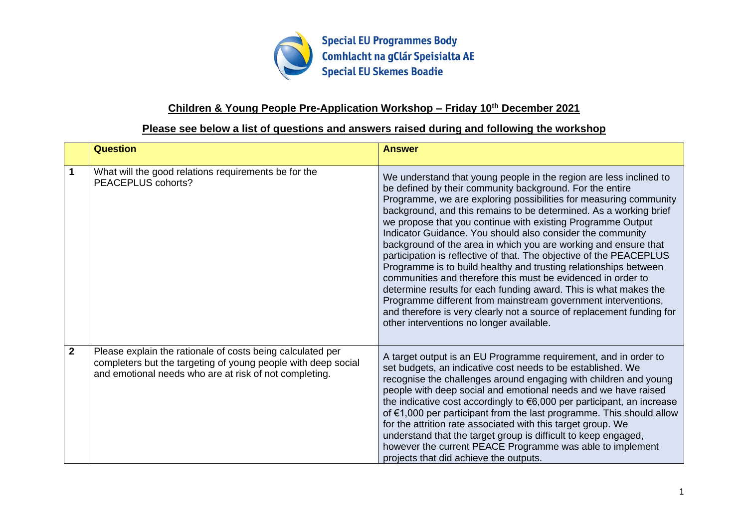

### **Children & Young People Pre-Application Workshop – Friday 10th December 2021**

### **Please see below a list of questions and answers raised during and following the workshop**

|                | <b>Question</b>                                                                                                                                                                       | <b>Answer</b>                                                                                                                                                                                                                                                                                                                                                                                                                                                                                                                                                                                                                                                                                                                                                                                                                                                                                                                                 |
|----------------|---------------------------------------------------------------------------------------------------------------------------------------------------------------------------------------|-----------------------------------------------------------------------------------------------------------------------------------------------------------------------------------------------------------------------------------------------------------------------------------------------------------------------------------------------------------------------------------------------------------------------------------------------------------------------------------------------------------------------------------------------------------------------------------------------------------------------------------------------------------------------------------------------------------------------------------------------------------------------------------------------------------------------------------------------------------------------------------------------------------------------------------------------|
|                | What will the good relations requirements be for the<br>PEACEPLUS cohorts?                                                                                                            | We understand that young people in the region are less inclined to<br>be defined by their community background. For the entire<br>Programme, we are exploring possibilities for measuring community<br>background, and this remains to be determined. As a working brief<br>we propose that you continue with existing Programme Output<br>Indicator Guidance. You should also consider the community<br>background of the area in which you are working and ensure that<br>participation is reflective of that. The objective of the PEACEPLUS<br>Programme is to build healthy and trusting relationships between<br>communities and therefore this must be evidenced in order to<br>determine results for each funding award. This is what makes the<br>Programme different from mainstream government interventions,<br>and therefore is very clearly not a source of replacement funding for<br>other interventions no longer available. |
| $\overline{2}$ | Please explain the rationale of costs being calculated per<br>completers but the targeting of young people with deep social<br>and emotional needs who are at risk of not completing. | A target output is an EU Programme requirement, and in order to<br>set budgets, an indicative cost needs to be established. We<br>recognise the challenges around engaging with children and young<br>people with deep social and emotional needs and we have raised<br>the indicative cost accordingly to $\epsilon$ 6,000 per participant, an increase<br>of €1,000 per participant from the last programme. This should allow<br>for the attrition rate associated with this target group. We<br>understand that the target group is difficult to keep engaged,<br>however the current PEACE Programme was able to implement<br>projects that did achieve the outputs.                                                                                                                                                                                                                                                                     |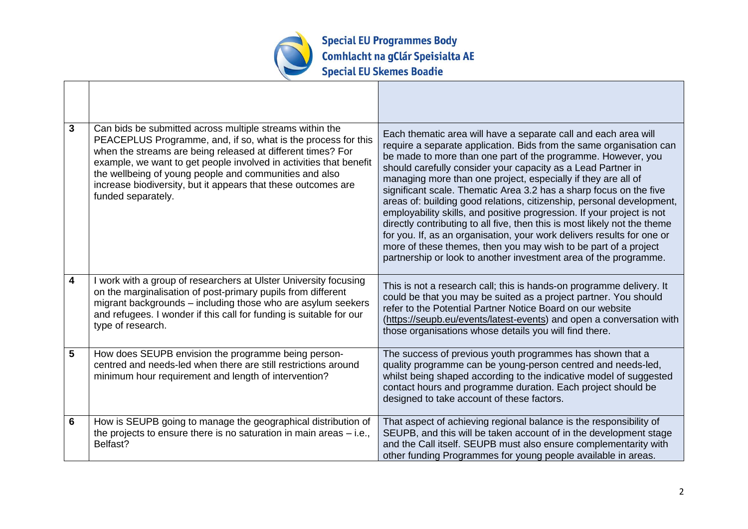

| $\mathbf{3}$            | Can bids be submitted across multiple streams within the<br>PEACEPLUS Programme, and, if so, what is the process for this<br>when the streams are being released at different times? For<br>example, we want to get people involved in activities that benefit<br>the wellbeing of young people and communities and also<br>increase biodiversity, but it appears that these outcomes are<br>funded separately. | Each thematic area will have a separate call and each area will<br>require a separate application. Bids from the same organisation can<br>be made to more than one part of the programme. However, you<br>should carefully consider your capacity as a Lead Partner in<br>managing more than one project, especially if they are all of<br>significant scale. Thematic Area 3.2 has a sharp focus on the five<br>areas of: building good relations, citizenship, personal development,<br>employability skills, and positive progression. If your project is not<br>directly contributing to all five, then this is most likely not the theme<br>for you. If, as an organisation, your work delivers results for one or<br>more of these themes, then you may wish to be part of a project<br>partnership or look to another investment area of the programme. |
|-------------------------|-----------------------------------------------------------------------------------------------------------------------------------------------------------------------------------------------------------------------------------------------------------------------------------------------------------------------------------------------------------------------------------------------------------------|----------------------------------------------------------------------------------------------------------------------------------------------------------------------------------------------------------------------------------------------------------------------------------------------------------------------------------------------------------------------------------------------------------------------------------------------------------------------------------------------------------------------------------------------------------------------------------------------------------------------------------------------------------------------------------------------------------------------------------------------------------------------------------------------------------------------------------------------------------------|
| $\overline{\mathbf{4}}$ | I work with a group of researchers at Ulster University focusing<br>on the marginalisation of post-primary pupils from different<br>migrant backgrounds - including those who are asylum seekers<br>and refugees. I wonder if this call for funding is suitable for our<br>type of research.                                                                                                                    | This is not a research call; this is hands-on programme delivery. It<br>could be that you may be suited as a project partner. You should<br>refer to the Potential Partner Notice Board on our website<br>(https://seupb.eu/events/latest-events) and open a conversation with<br>those organisations whose details you will find there.                                                                                                                                                                                                                                                                                                                                                                                                                                                                                                                       |
| 5                       | How does SEUPB envision the programme being person-<br>centred and needs-led when there are still restrictions around<br>minimum hour requirement and length of intervention?                                                                                                                                                                                                                                   | The success of previous youth programmes has shown that a<br>quality programme can be young-person centred and needs-led,<br>whilst being shaped according to the indicative model of suggested<br>contact hours and programme duration. Each project should be<br>designed to take account of these factors.                                                                                                                                                                                                                                                                                                                                                                                                                                                                                                                                                  |
| 6                       | How is SEUPB going to manage the geographical distribution of<br>the projects to ensure there is no saturation in main areas $-$ i.e.,<br>Belfast?                                                                                                                                                                                                                                                              | That aspect of achieving regional balance is the responsibility of<br>SEUPB, and this will be taken account of in the development stage<br>and the Call itself. SEUPB must also ensure complementarity with<br>other funding Programmes for young people available in areas.                                                                                                                                                                                                                                                                                                                                                                                                                                                                                                                                                                                   |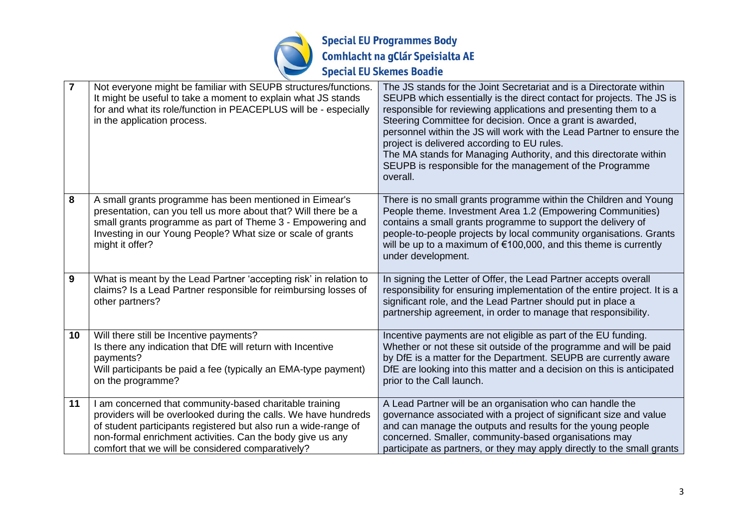

| $\overline{7}$  | Not everyone might be familiar with SEUPB structures/functions.<br>It might be useful to take a moment to explain what JS stands<br>for and what its role/function in PEACEPLUS will be - especially<br>in the application process.                                                                              | The JS stands for the Joint Secretariat and is a Directorate within<br>SEUPB which essentially is the direct contact for projects. The JS is<br>responsible for reviewing applications and presenting them to a<br>Steering Committee for decision. Once a grant is awarded,<br>personnel within the JS will work with the Lead Partner to ensure the<br>project is delivered according to EU rules.<br>The MA stands for Managing Authority, and this directorate within<br>SEUPB is responsible for the management of the Programme<br>overall. |
|-----------------|------------------------------------------------------------------------------------------------------------------------------------------------------------------------------------------------------------------------------------------------------------------------------------------------------------------|---------------------------------------------------------------------------------------------------------------------------------------------------------------------------------------------------------------------------------------------------------------------------------------------------------------------------------------------------------------------------------------------------------------------------------------------------------------------------------------------------------------------------------------------------|
| 8               | A small grants programme has been mentioned in Eimear's<br>presentation, can you tell us more about that? Will there be a<br>small grants programme as part of Theme 3 - Empowering and<br>Investing in our Young People? What size or scale of grants<br>might it offer?                                        | There is no small grants programme within the Children and Young<br>People theme. Investment Area 1.2 (Empowering Communities)<br>contains a small grants programme to support the delivery of<br>people-to-people projects by local community organisations. Grants<br>will be up to a maximum of €100,000, and this theme is currently<br>under development.                                                                                                                                                                                    |
| 9               | What is meant by the Lead Partner 'accepting risk' in relation to<br>claims? Is a Lead Partner responsible for reimbursing losses of<br>other partners?                                                                                                                                                          | In signing the Letter of Offer, the Lead Partner accepts overall<br>responsibility for ensuring implementation of the entire project. It is a<br>significant role, and the Lead Partner should put in place a<br>partnership agreement, in order to manage that responsibility.                                                                                                                                                                                                                                                                   |
| 10 <sup>°</sup> | Will there still be Incentive payments?<br>Is there any indication that DfE will return with Incentive<br>payments?<br>Will participants be paid a fee (typically an EMA-type payment)<br>on the programme?                                                                                                      | Incentive payments are not eligible as part of the EU funding.<br>Whether or not these sit outside of the programme and will be paid<br>by DfE is a matter for the Department. SEUPB are currently aware<br>DfE are looking into this matter and a decision on this is anticipated<br>prior to the Call launch.                                                                                                                                                                                                                                   |
| 11              | I am concerned that community-based charitable training<br>providers will be overlooked during the calls. We have hundreds<br>of student participants registered but also run a wide-range of<br>non-formal enrichment activities. Can the body give us any<br>comfort that we will be considered comparatively? | A Lead Partner will be an organisation who can handle the<br>governance associated with a project of significant size and value<br>and can manage the outputs and results for the young people<br>concerned. Smaller, community-based organisations may<br>participate as partners, or they may apply directly to the small grants                                                                                                                                                                                                                |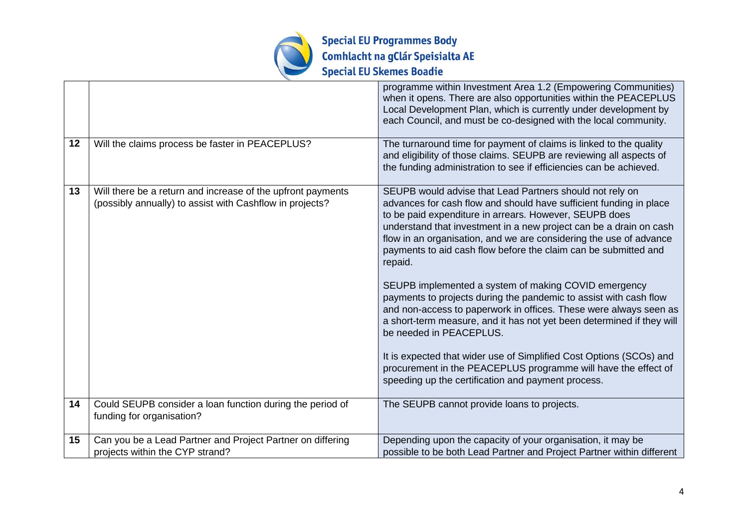

|    |                                                                                                                         | programme within Investment Area 1.2 (Empowering Communities)<br>when it opens. There are also opportunities within the PEACEPLUS<br>Local Development Plan, which is currently under development by<br>each Council, and must be co-designed with the local community.                                                                                                                                                                                                                                                                                                                                                                                                                                                                                                                                                                                                                                                 |
|----|-------------------------------------------------------------------------------------------------------------------------|-------------------------------------------------------------------------------------------------------------------------------------------------------------------------------------------------------------------------------------------------------------------------------------------------------------------------------------------------------------------------------------------------------------------------------------------------------------------------------------------------------------------------------------------------------------------------------------------------------------------------------------------------------------------------------------------------------------------------------------------------------------------------------------------------------------------------------------------------------------------------------------------------------------------------|
| 12 | Will the claims process be faster in PEACEPLUS?                                                                         | The turnaround time for payment of claims is linked to the quality<br>and eligibility of those claims. SEUPB are reviewing all aspects of<br>the funding administration to see if efficiencies can be achieved.                                                                                                                                                                                                                                                                                                                                                                                                                                                                                                                                                                                                                                                                                                         |
| 13 | Will there be a return and increase of the upfront payments<br>(possibly annually) to assist with Cashflow in projects? | SEUPB would advise that Lead Partners should not rely on<br>advances for cash flow and should have sufficient funding in place<br>to be paid expenditure in arrears. However, SEUPB does<br>understand that investment in a new project can be a drain on cash<br>flow in an organisation, and we are considering the use of advance<br>payments to aid cash flow before the claim can be submitted and<br>repaid.<br>SEUPB implemented a system of making COVID emergency<br>payments to projects during the pandemic to assist with cash flow<br>and non-access to paperwork in offices. These were always seen as<br>a short-term measure, and it has not yet been determined if they will<br>be needed in PEACEPLUS.<br>It is expected that wider use of Simplified Cost Options (SCOs) and<br>procurement in the PEACEPLUS programme will have the effect of<br>speeding up the certification and payment process. |
| 14 | Could SEUPB consider a loan function during the period of<br>funding for organisation?                                  | The SEUPB cannot provide loans to projects.                                                                                                                                                                                                                                                                                                                                                                                                                                                                                                                                                                                                                                                                                                                                                                                                                                                                             |
| 15 | Can you be a Lead Partner and Project Partner on differing<br>projects within the CYP strand?                           | Depending upon the capacity of your organisation, it may be<br>possible to be both Lead Partner and Project Partner within different                                                                                                                                                                                                                                                                                                                                                                                                                                                                                                                                                                                                                                                                                                                                                                                    |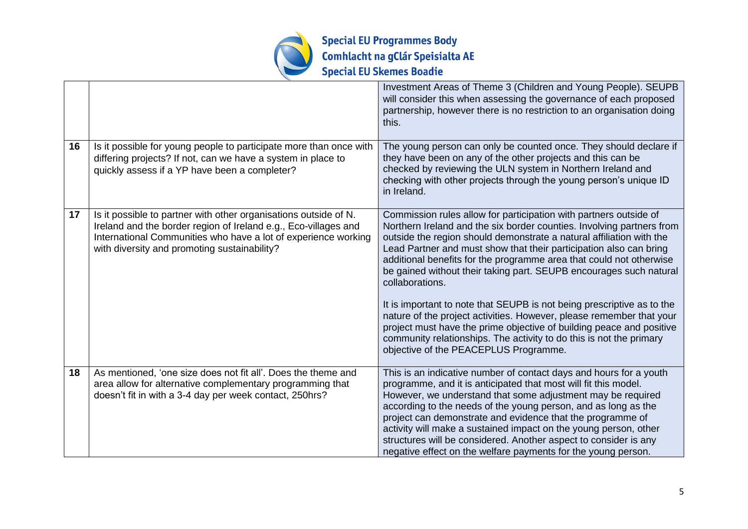

|    |                                                                                                                                                                                                                                                       | Investment Areas of Theme 3 (Children and Young People). SEUPB<br>will consider this when assessing the governance of each proposed<br>partnership, however there is no restriction to an organisation doing<br>this.                                                                                                                                                                                                                                                                                                                                                                                                                                                                                                                                                                              |
|----|-------------------------------------------------------------------------------------------------------------------------------------------------------------------------------------------------------------------------------------------------------|----------------------------------------------------------------------------------------------------------------------------------------------------------------------------------------------------------------------------------------------------------------------------------------------------------------------------------------------------------------------------------------------------------------------------------------------------------------------------------------------------------------------------------------------------------------------------------------------------------------------------------------------------------------------------------------------------------------------------------------------------------------------------------------------------|
| 16 | Is it possible for young people to participate more than once with<br>differing projects? If not, can we have a system in place to<br>quickly assess if a YP have been a completer?                                                                   | The young person can only be counted once. They should declare if<br>they have been on any of the other projects and this can be<br>checked by reviewing the ULN system in Northern Ireland and<br>checking with other projects through the young person's unique ID<br>in Ireland.                                                                                                                                                                                                                                                                                                                                                                                                                                                                                                                |
| 17 | Is it possible to partner with other organisations outside of N.<br>Ireland and the border region of Ireland e.g., Eco-villages and<br>International Communities who have a lot of experience working<br>with diversity and promoting sustainability? | Commission rules allow for participation with partners outside of<br>Northern Ireland and the six border counties. Involving partners from<br>outside the region should demonstrate a natural affiliation with the<br>Lead Partner and must show that their participation also can bring<br>additional benefits for the programme area that could not otherwise<br>be gained without their taking part. SEUPB encourages such natural<br>collaborations.<br>It is important to note that SEUPB is not being prescriptive as to the<br>nature of the project activities. However, please remember that your<br>project must have the prime objective of building peace and positive<br>community relationships. The activity to do this is not the primary<br>objective of the PEACEPLUS Programme. |
| 18 | As mentioned, 'one size does not fit all'. Does the theme and<br>area allow for alternative complementary programming that<br>doesn't fit in with a 3-4 day per week contact, 250hrs?                                                                 | This is an indicative number of contact days and hours for a youth<br>programme, and it is anticipated that most will fit this model.<br>However, we understand that some adjustment may be required<br>according to the needs of the young person, and as long as the<br>project can demonstrate and evidence that the programme of<br>activity will make a sustained impact on the young person, other<br>structures will be considered. Another aspect to consider is any<br>negative effect on the welfare payments for the young person.                                                                                                                                                                                                                                                      |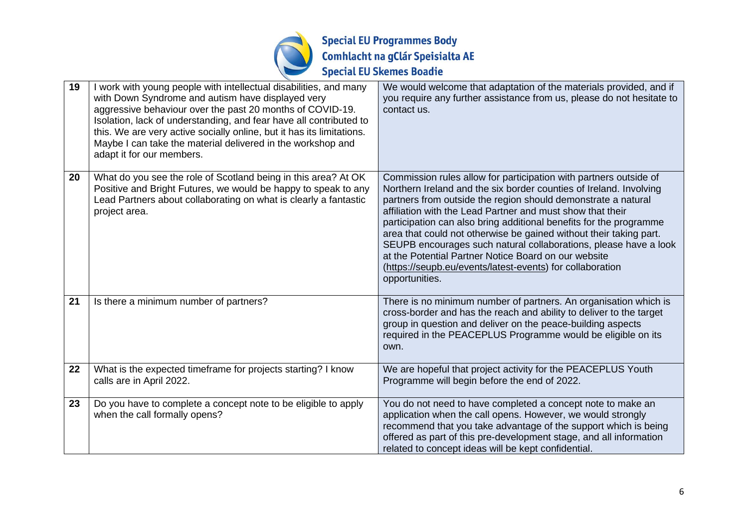

| 19 | I work with young people with intellectual disabilities, and many<br>with Down Syndrome and autism have displayed very<br>aggressive behaviour over the past 20 months of COVID-19.<br>Isolation, lack of understanding, and fear have all contributed to<br>this. We are very active socially online, but it has its limitations.<br>Maybe I can take the material delivered in the workshop and<br>adapt it for our members. | We would welcome that adaptation of the materials provided, and if<br>you require any further assistance from us, please do not hesitate to<br>contact us.                                                                                                                                                                                                                                                                                                                                                                                                                                                                    |
|----|--------------------------------------------------------------------------------------------------------------------------------------------------------------------------------------------------------------------------------------------------------------------------------------------------------------------------------------------------------------------------------------------------------------------------------|-------------------------------------------------------------------------------------------------------------------------------------------------------------------------------------------------------------------------------------------------------------------------------------------------------------------------------------------------------------------------------------------------------------------------------------------------------------------------------------------------------------------------------------------------------------------------------------------------------------------------------|
| 20 | What do you see the role of Scotland being in this area? At OK<br>Positive and Bright Futures, we would be happy to speak to any<br>Lead Partners about collaborating on what is clearly a fantastic<br>project area.                                                                                                                                                                                                          | Commission rules allow for participation with partners outside of<br>Northern Ireland and the six border counties of Ireland. Involving<br>partners from outside the region should demonstrate a natural<br>affiliation with the Lead Partner and must show that their<br>participation can also bring additional benefits for the programme<br>area that could not otherwise be gained without their taking part.<br>SEUPB encourages such natural collaborations, please have a look<br>at the Potential Partner Notice Board on our website<br>(https://seupb.eu/events/latest-events) for collaboration<br>opportunities. |
| 21 | Is there a minimum number of partners?                                                                                                                                                                                                                                                                                                                                                                                         | There is no minimum number of partners. An organisation which is<br>cross-border and has the reach and ability to deliver to the target<br>group in question and deliver on the peace-building aspects<br>required in the PEACEPLUS Programme would be eligible on its<br>own.                                                                                                                                                                                                                                                                                                                                                |
| 22 | What is the expected timeframe for projects starting? I know<br>calls are in April 2022.                                                                                                                                                                                                                                                                                                                                       | We are hopeful that project activity for the PEACEPLUS Youth<br>Programme will begin before the end of 2022.                                                                                                                                                                                                                                                                                                                                                                                                                                                                                                                  |
| 23 | Do you have to complete a concept note to be eligible to apply<br>when the call formally opens?                                                                                                                                                                                                                                                                                                                                | You do not need to have completed a concept note to make an<br>application when the call opens. However, we would strongly<br>recommend that you take advantage of the support which is being<br>offered as part of this pre-development stage, and all information<br>related to concept ideas will be kept confidential.                                                                                                                                                                                                                                                                                                    |